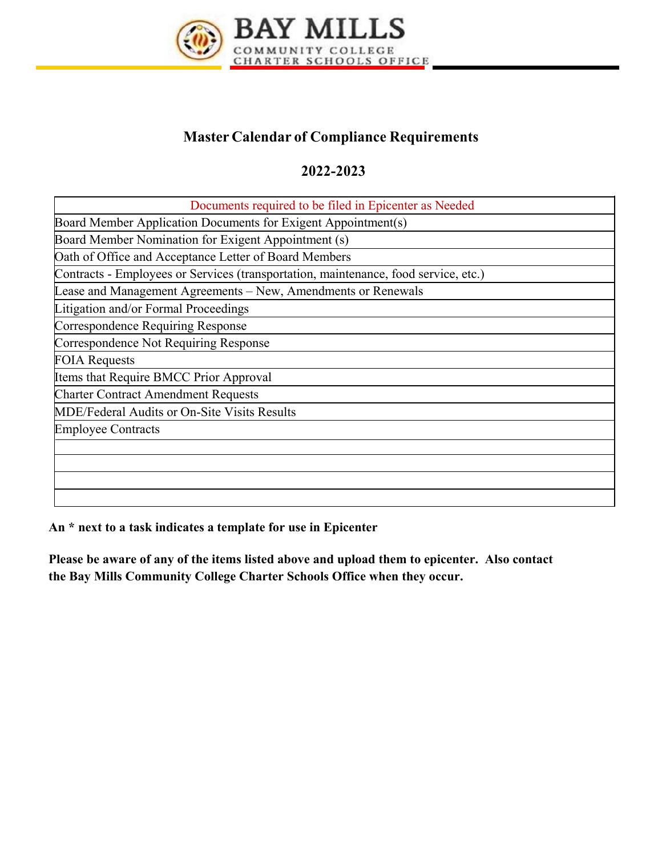

## **Master Calendar of Compliance Requirements**

## **2022-2023**

| Documents required to be filed in Epicenter as Needed                               |
|-------------------------------------------------------------------------------------|
| Board Member Application Documents for Exigent Appointment(s)                       |
| Board Member Nomination for Exigent Appointment (s)                                 |
| Oath of Office and Acceptance Letter of Board Members                               |
| Contracts - Employees or Services (transportation, maintenance, food service, etc.) |
| Lease and Management Agreements – New, Amendments or Renewals                       |
| Litigation and/or Formal Proceedings                                                |
| Correspondence Requiring Response                                                   |
| Correspondence Not Requiring Response                                               |
| <b>FOIA Requests</b>                                                                |
| Items that Require BMCC Prior Approval                                              |
| <b>Charter Contract Amendment Requests</b>                                          |
| MDE/Federal Audits or On-Site Visits Results                                        |
| <b>Employee Contracts</b>                                                           |
|                                                                                     |
|                                                                                     |
|                                                                                     |
|                                                                                     |

**An \* next to a task indicates a template for use in Epicenter** 

**Please be aware of any of the items listed above and upload them to epicenter. Also contact the Bay Mills Community College Charter Schools Office when they occur.**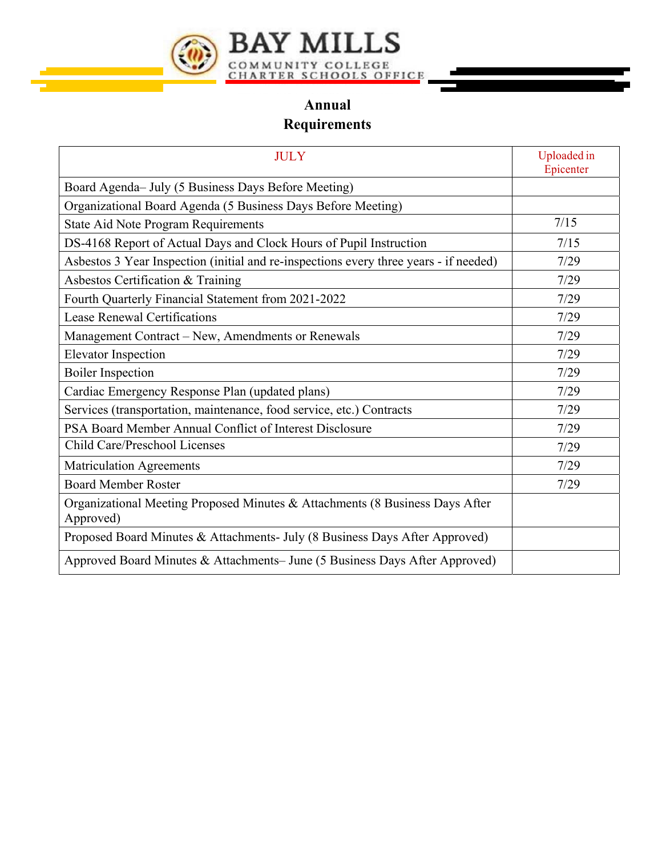

## **Annual**

## **Requirements**

| <b>JULY</b>                                                                               | Uploaded in<br>Epicenter |
|-------------------------------------------------------------------------------------------|--------------------------|
| Board Agenda– July (5 Business Days Before Meeting)                                       |                          |
| Organizational Board Agenda (5 Business Days Before Meeting)                              |                          |
| State Aid Note Program Requirements                                                       | 7/15                     |
| DS-4168 Report of Actual Days and Clock Hours of Pupil Instruction                        | 7/15                     |
| Asbestos 3 Year Inspection (initial and re-inspections every three years - if needed)     | 7/29                     |
| Asbestos Certification & Training                                                         | 7/29                     |
| Fourth Quarterly Financial Statement from 2021-2022                                       | 7/29                     |
| <b>Lease Renewal Certifications</b>                                                       | 7/29                     |
| Management Contract – New, Amendments or Renewals                                         | 7/29                     |
| <b>Elevator Inspection</b>                                                                | 7/29                     |
| <b>Boiler Inspection</b>                                                                  | 7/29                     |
| Cardiac Emergency Response Plan (updated plans)                                           | 7/29                     |
| Services (transportation, maintenance, food service, etc.) Contracts                      | 7/29                     |
| PSA Board Member Annual Conflict of Interest Disclosure                                   | 7/29                     |
| Child Care/Preschool Licenses                                                             | 7/29                     |
| <b>Matriculation Agreements</b>                                                           | 7/29                     |
| <b>Board Member Roster</b>                                                                | 7/29                     |
| Organizational Meeting Proposed Minutes & Attachments (8 Business Days After<br>Approved) |                          |
| Proposed Board Minutes & Attachments- July (8 Business Days After Approved)               |                          |
| Approved Board Minutes & Attachments– June (5 Business Days After Approved)               |                          |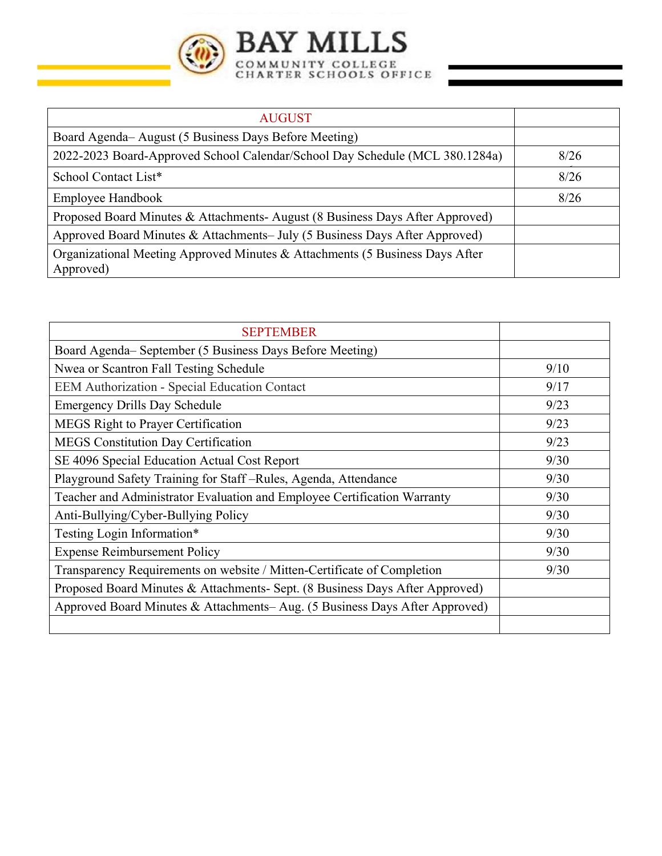

| <b>AUGUST</b>                                                                             |      |
|-------------------------------------------------------------------------------------------|------|
| Board Agenda– August (5 Business Days Before Meeting)                                     |      |
| 2022-2023 Board-Approved School Calendar/School Day Schedule (MCL 380.1284a)              | 8/26 |
| School Contact List*                                                                      | 8/26 |
| <b>Employee Handbook</b>                                                                  | 8/26 |
| Proposed Board Minutes & Attachments-August (8 Business Days After Approved)              |      |
| Approved Board Minutes & Attachments– July (5 Business Days After Approved)               |      |
| Organizational Meeting Approved Minutes & Attachments (5 Business Days After<br>Approved) |      |

| <b>SEPTEMBER</b>                                                             |      |
|------------------------------------------------------------------------------|------|
| Board Agenda- September (5 Business Days Before Meeting)                     |      |
| Nwea or Scantron Fall Testing Schedule                                       | 9/10 |
| EEM Authorization - Special Education Contact                                | 9/17 |
| <b>Emergency Drills Day Schedule</b>                                         | 9/23 |
| <b>MEGS Right to Prayer Certification</b>                                    | 9/23 |
| <b>MEGS</b> Constitution Day Certification                                   | 9/23 |
| SE 4096 Special Education Actual Cost Report                                 | 9/30 |
| Playground Safety Training for Staff-Rules, Agenda, Attendance               | 9/30 |
| Teacher and Administrator Evaluation and Employee Certification Warranty     | 9/30 |
| Anti-Bullying/Cyber-Bullying Policy                                          | 9/30 |
| Testing Login Information*                                                   | 9/30 |
| <b>Expense Reimbursement Policy</b>                                          | 9/30 |
| Transparency Requirements on website / Mitten-Certificate of Completion      | 9/30 |
| Proposed Board Minutes & Attachments- Sept. (8 Business Days After Approved) |      |
| Approved Board Minutes & Attachments–Aug. (5 Business Days After Approved)   |      |
|                                                                              |      |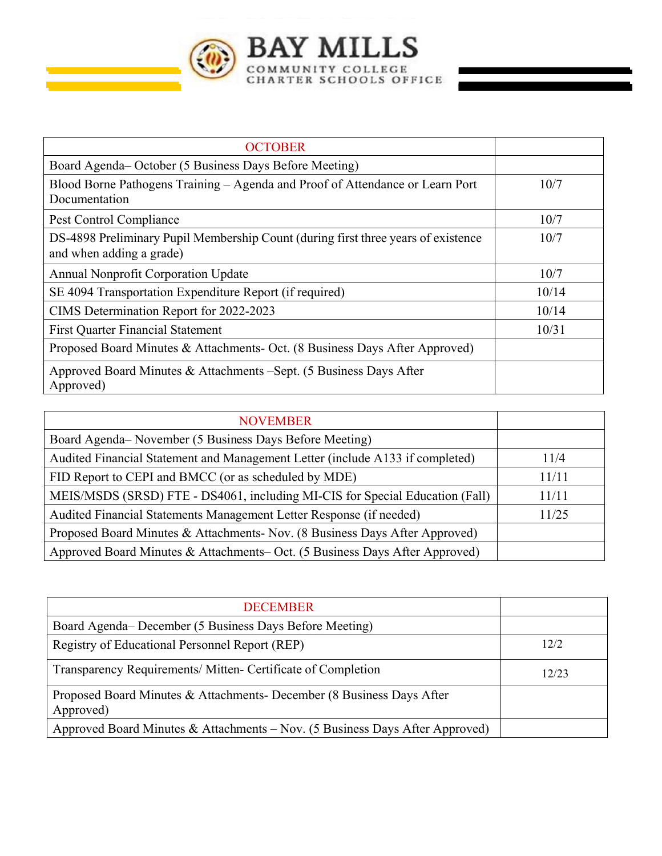BAY MILLS

 $\left(\begin{smallmatrix} 0 & 0 \\ 0 & 0 \end{smallmatrix}\right)$ 

| <b>OCTOBER</b>                                                                                                |       |
|---------------------------------------------------------------------------------------------------------------|-------|
| Board Agenda– October (5 Business Days Before Meeting)                                                        |       |
| Blood Borne Pathogens Training – Agenda and Proof of Attendance or Learn Port<br>Documentation                | 10/7  |
| Pest Control Compliance                                                                                       | 10/7  |
| DS-4898 Preliminary Pupil Membership Count (during first three years of existence<br>and when adding a grade) | 10/7  |
| <b>Annual Nonprofit Corporation Update</b>                                                                    | 10/7  |
| SE 4094 Transportation Expenditure Report (if required)                                                       | 10/14 |
| CIMS Determination Report for 2022-2023                                                                       | 10/14 |
| <b>First Quarter Financial Statement</b>                                                                      | 10/31 |
| Proposed Board Minutes & Attachments- Oct. (8 Business Days After Approved)                                   |       |
| Approved Board Minutes & Attachments – Sept. (5 Business Days After<br>Approved)                              |       |

| <b>NOVEMBER</b>                                                               |       |
|-------------------------------------------------------------------------------|-------|
| Board Agenda– November (5 Business Days Before Meeting)                       |       |
| Audited Financial Statement and Management Letter (include A133 if completed) | 11/4  |
| FID Report to CEPI and BMCC (or as scheduled by MDE)                          | 11/11 |
| MEIS/MSDS (SRSD) FTE - DS4061, including MI-CIS for Special Education (Fall)  | 11/11 |
| Audited Financial Statements Management Letter Response (if needed)           | 11/25 |
| Proposed Board Minutes & Attachments- Nov. (8 Business Days After Approved)   |       |
| Approved Board Minutes & Attachments– Oct. (5 Business Days After Approved)   |       |

| <b>DECEMBER</b>                                                                    |       |
|------------------------------------------------------------------------------------|-------|
| Board Agenda– December (5 Business Days Before Meeting)                            |       |
| Registry of Educational Personnel Report (REP)                                     | 12/2  |
| Transparency Requirements/ Mitten- Certificate of Completion                       | 12/23 |
| Proposed Board Minutes & Attachments- December (8 Business Days After<br>Approved) |       |
| Approved Board Minutes & Attachments – Nov. (5 Business Days After Approved)       |       |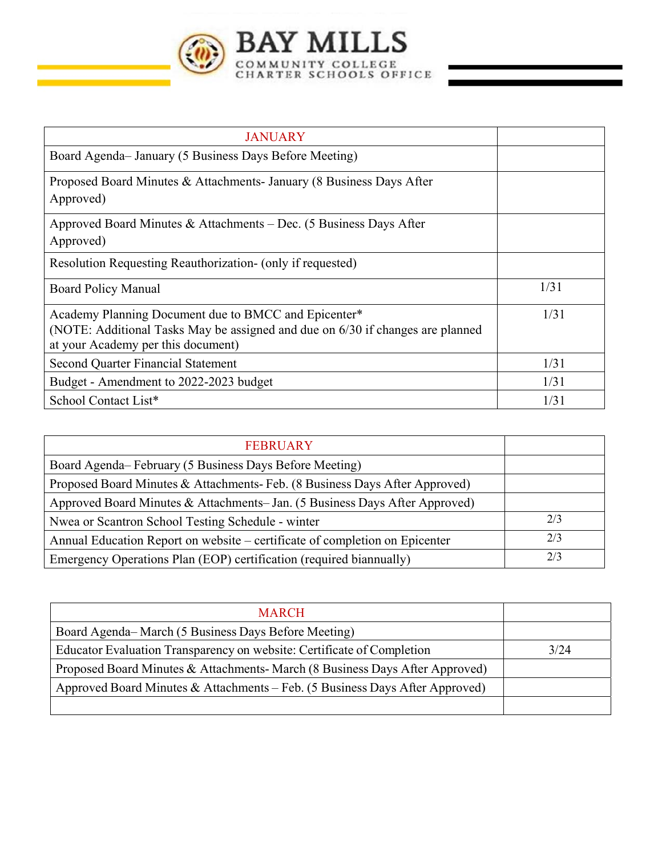

| <b>JANUARY</b>                                                                                                                                                               |      |
|------------------------------------------------------------------------------------------------------------------------------------------------------------------------------|------|
| Board Agenda-January (5 Business Days Before Meeting)                                                                                                                        |      |
| Proposed Board Minutes & Attachments- January (8 Business Days After<br>Approved)                                                                                            |      |
| Approved Board Minutes & Attachments – Dec. (5 Business Days After<br>Approved)                                                                                              |      |
| Resolution Requesting Reauthorization- (only if requested)                                                                                                                   |      |
| Board Policy Manual                                                                                                                                                          | 1/31 |
| Academy Planning Document due to BMCC and Epicenter*<br>(NOTE: Additional Tasks May be assigned and due on 6/30 if changes are planned<br>at your Academy per this document) | 1/31 |
| <b>Second Quarter Financial Statement</b>                                                                                                                                    | 1/31 |
| Budget - Amendment to 2022-2023 budget                                                                                                                                       | 1/31 |
| School Contact List*                                                                                                                                                         | 1/31 |

| <b>FEBRUARY</b>                                                             |     |
|-----------------------------------------------------------------------------|-----|
| Board Agenda–February (5 Business Days Before Meeting)                      |     |
| Proposed Board Minutes & Attachments- Feb. (8 Business Days After Approved) |     |
| Approved Board Minutes & Attachments-Jan. (5 Business Days After Approved)  |     |
| Nwea or Scantron School Testing Schedule - winter                           | 2/3 |
| Annual Education Report on website – certificate of completion on Epicenter | 2/3 |
| Emergency Operations Plan (EOP) certification (required biannually)         | 2/3 |

| <b>MARCH</b>                                                                 |      |
|------------------------------------------------------------------------------|------|
| Board Agenda–March (5 Business Days Before Meeting)                          |      |
| Educator Evaluation Transparency on website: Certificate of Completion       | 3/24 |
| Proposed Board Minutes & Attachments-March (8 Business Days After Approved)  |      |
| Approved Board Minutes & Attachments - Feb. (5 Business Days After Approved) |      |
|                                                                              |      |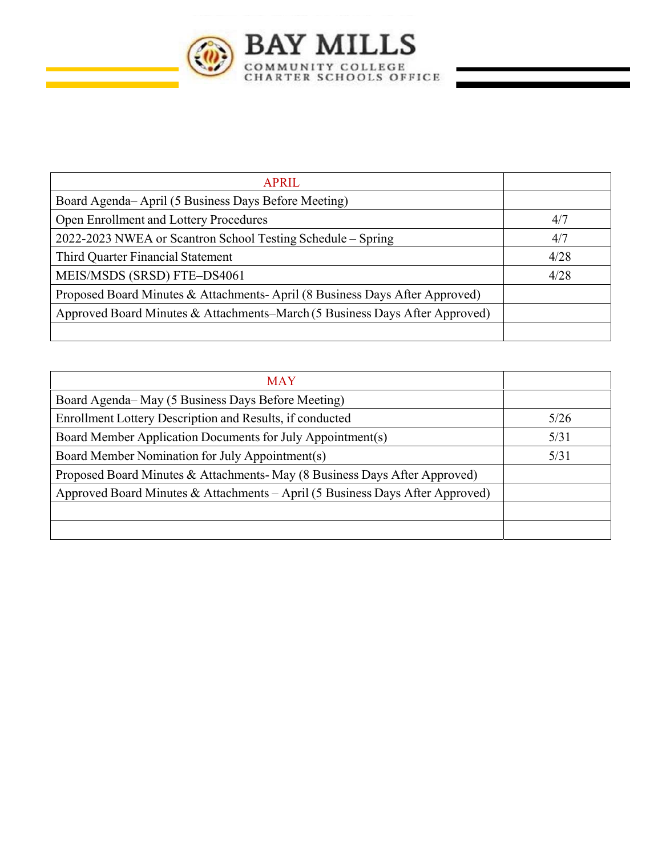

| <b>APRIL</b>                                                                |      |
|-----------------------------------------------------------------------------|------|
| Board Agenda–April (5 Business Days Before Meeting)                         |      |
| Open Enrollment and Lottery Procedures                                      | 4/7  |
| 2022-2023 NWEA or Scantron School Testing Schedule – Spring                 | 4/7  |
| Third Quarter Financial Statement                                           | 4/28 |
| MEIS/MSDS (SRSD) FTE-DS4061                                                 | 4/28 |
| Proposed Board Minutes & Attachments-April (8 Business Days After Approved) |      |
| Approved Board Minutes & Attachments–March (5 Business Days After Approved) |      |
|                                                                             |      |

| <b>MAY</b>                                                                    |      |
|-------------------------------------------------------------------------------|------|
| Board Agenda–May (5 Business Days Before Meeting)                             |      |
| Enrollment Lottery Description and Results, if conducted                      | 5/26 |
| Board Member Application Documents for July Appointment(s)                    | 5/31 |
| Board Member Nomination for July Appointment(s)                               | 5/31 |
| Proposed Board Minutes & Attachments-May (8 Business Days After Approved)     |      |
| Approved Board Minutes & Attachments - April (5 Business Days After Approved) |      |
|                                                                               |      |
|                                                                               |      |